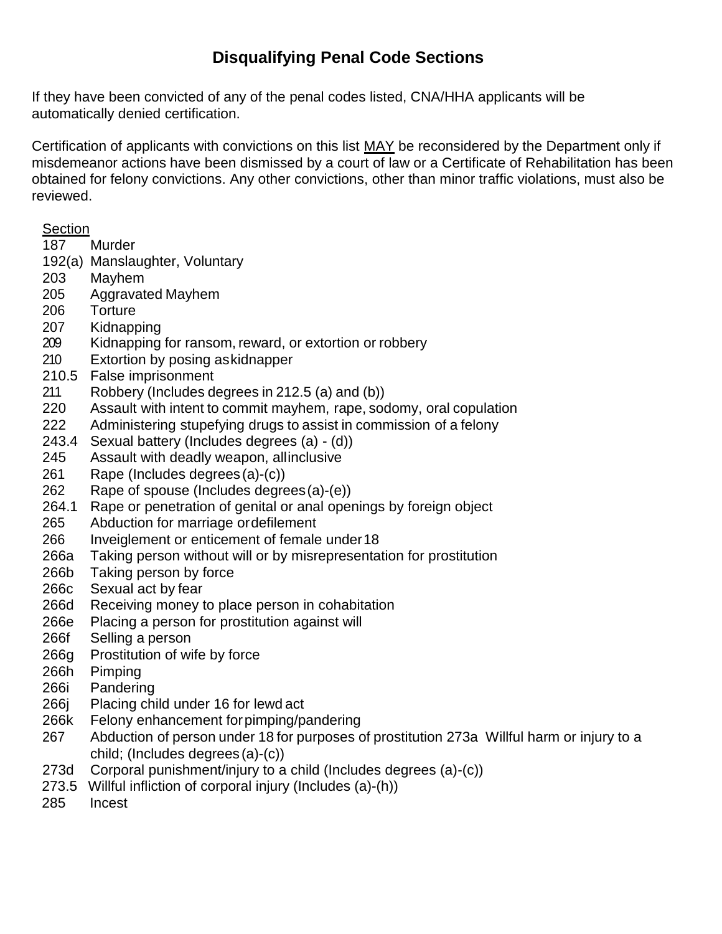## **Disqualifying Penal Code Sections**

If they have been convicted of any of the penal codes listed, CNA/HHA applicants will be automatically denied certification.

Certification of applicants with convictions on this list MAY be reconsidered by the Department only if misdemeanor actions have been dismissed by a court of law or a Certificate of Rehabilitation has been obtained for felony convictions. Any other convictions, other than minor traffic violations, must also be reviewed.

## Section

- 187 Murder
- 192(a) Manslaughter, Voluntary
- 203 Mayhem
- 205 Aggravated Mayhem
- 206 Torture
- 207 Kidnapping
- 209 Kidnapping for ransom, reward, or extortion or robbery
- 210 Extortion by posing as kidnapper
- 210.5 False imprisonment
- 211 Robbery (Includes degrees in 212.5 (a) and (b))
- 220 Assault with intent to commit mayhem, rape, sodomy, oral copulation
- 222 Administering stupefying drugs to assist in commission of a felony
- 243.4 Sexual battery (Includes degrees (a) (d))
- 245 Assault with deadly weapon, allinclusive
- 261 Rape (Includes degrees (a)-(c))
- 262 Rape of spouse (Includes degrees (a)-(e))
- 264.1 Rape or penetration of genital or anal openings by foreign object
- 265 Abduction for marriage or defilement
- 266 Inveiglement or enticement of female under 18
- 266a Taking person without will or by misrepresentation for prostitution
- 266b Taking person by force
- 266c Sexual act by fear
- 266d Receiving money to place person in cohabitation
- 266e Placing a person for prostitution against will
- 266f Selling a person
- 266g Prostitution of wife by force
- 266h Pimping
- 266i Pandering
- 266j Placing child under 16 for lewd act
- 266k Felony enhancement for pimping/pandering
- 267 Abduction of person under 18 for purposes of prostitution 273a Willful harm or injury to a child; (Includes degrees (a)-(c))
- 273d Corporal punishment/injury to a child (Includes degrees (a)-(c))
- 273.5 Willful infliction of corporal injury (Includes (a)-(h))
- 285 Incest